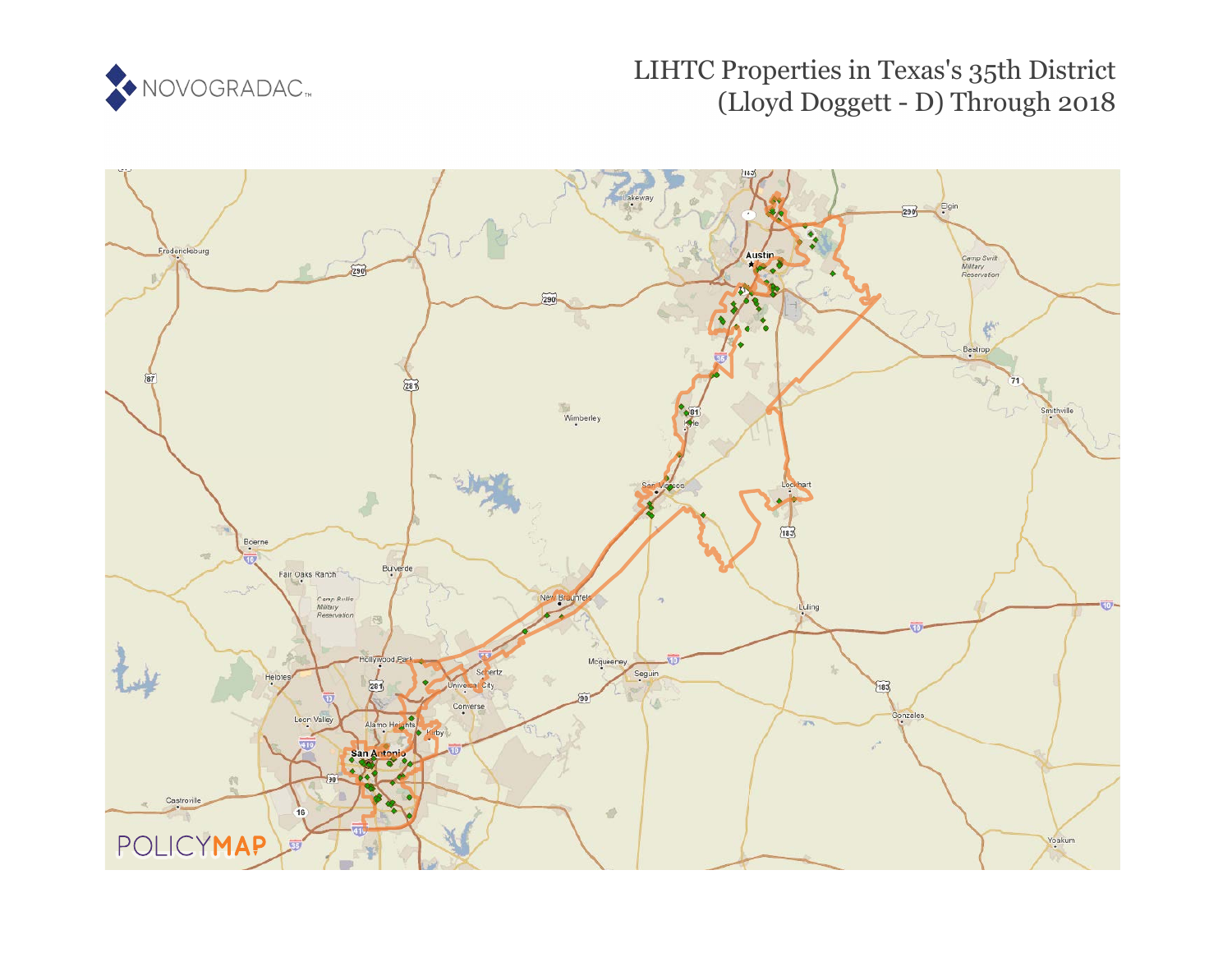

# LIHTC Properties in Texas's 35th District (Lloyd Doggett - D) Through 2018

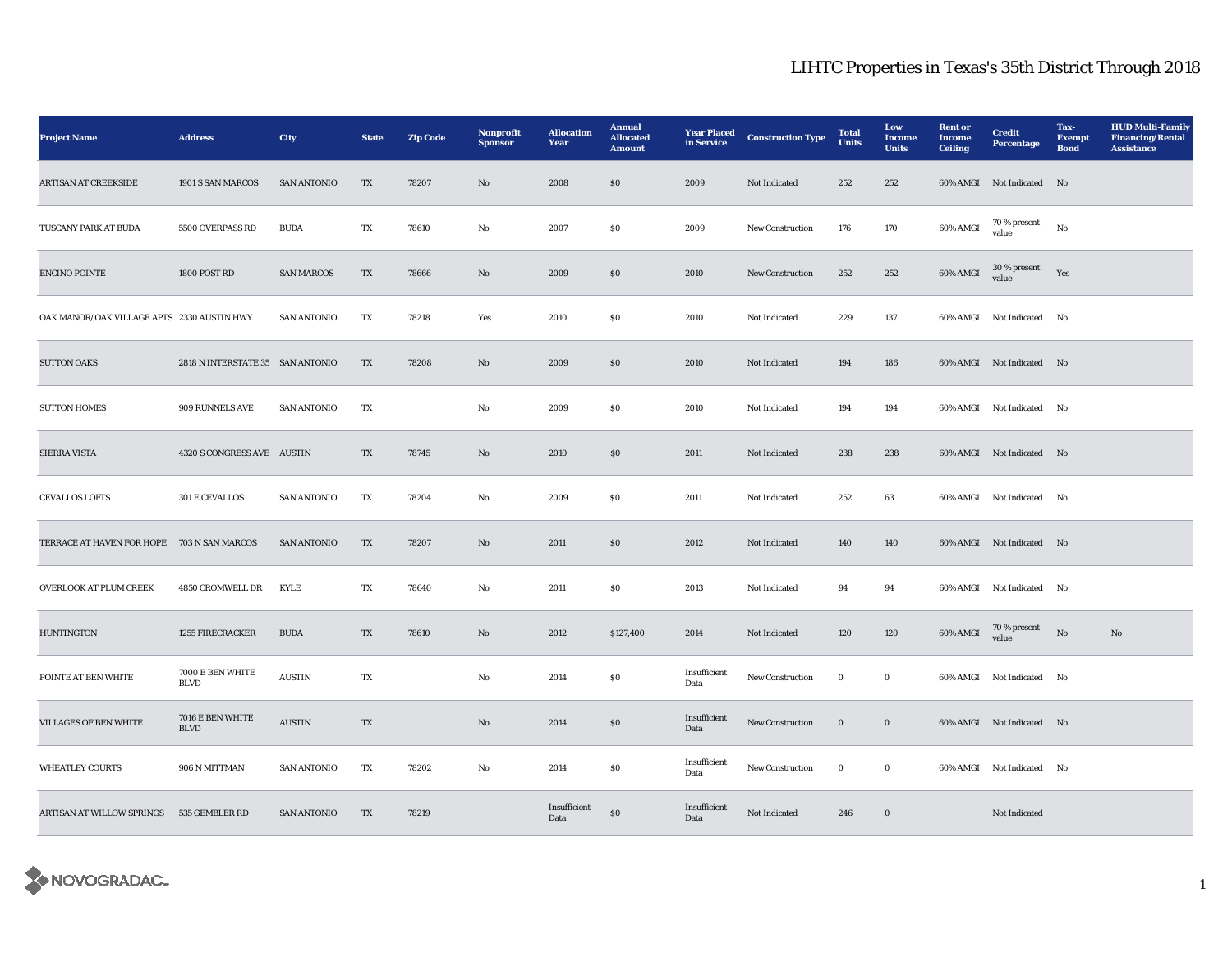| <b>Project Name</b>                        | <b>Address</b>                   | City               | <b>State</b>             | <b>Zip Code</b> | Nonprofit<br><b>Sponsor</b> | <b>Allocation</b><br>Year | <b>Annual</b><br><b>Allocated</b><br><b>Amount</b> | <b>Year Placed</b><br>in Service | <b>Construction Type</b> | <b>Total</b><br><b>Units</b> | Low<br><b>Income</b><br><b>Units</b> | <b>Rent</b> or<br>Income<br><b>Ceiling</b> | <b>Credit</b><br><b>Percentage</b> | Tax-<br><b>Exempt</b><br><b>Bond</b> | <b>HUD Multi-Family</b><br><b>Financing/Rental</b><br><b>Assistance</b> |
|--------------------------------------------|----------------------------------|--------------------|--------------------------|-----------------|-----------------------------|---------------------------|----------------------------------------------------|----------------------------------|--------------------------|------------------------------|--------------------------------------|--------------------------------------------|------------------------------------|--------------------------------------|-------------------------------------------------------------------------|
| <b>ARTISAN AT CREEKSIDE</b>                | 1901 S SAN MARCOS                | <b>SAN ANTONIO</b> | TX                       | 78207           | No                          | 2008                      | \$0\$                                              | 2009                             | Not Indicated            | 252                          | 252                                  |                                            | 60% AMGI Not Indicated No          |                                      |                                                                         |
| TUSCANY PARK AT BUDA                       | 5500 OVERPASS RD                 | <b>BUDA</b>        | TX                       | 78610           | No                          | 2007                      | \$0                                                | 2009                             | <b>New Construction</b>  | 176                          | 170                                  | 60% AMGI                                   | 70 % present<br>value              | No                                   |                                                                         |
| <b>ENCINO POINTE</b>                       | 1800 POST RD                     | <b>SAN MARCOS</b>  | TX                       | 78666           | $\mathbf{N}\mathbf{o}$      | 2009                      | $\$0$                                              | 2010                             | <b>New Construction</b>  | 252                          | 252                                  | 60% AMGI                                   | $30\,\%$ present<br>value          | Yes                                  |                                                                         |
| OAK MANOR/OAK VILLAGE APTS 2330 AUSTIN HWY |                                  | <b>SAN ANTONIO</b> | TX                       | 78218           | Yes                         | 2010                      | $\boldsymbol{\mathsf{S}}\boldsymbol{\mathsf{0}}$   | 2010                             | Not Indicated            | 229                          | 137                                  |                                            | 60% AMGI Not Indicated No          |                                      |                                                                         |
| <b>SUTTON OAKS</b>                         | 2818 N INTERSTATE 35 SAN ANTONIO |                    | TX                       | 78208           | No                          | 2009                      | \$0                                                | 2010                             | Not Indicated            | 194                          | 186                                  |                                            | 60% AMGI Not Indicated No          |                                      |                                                                         |
| <b>SUTTON HOMES</b>                        | 909 RUNNELS AVE                  | <b>SAN ANTONIO</b> | TX                       |                 | No                          | 2009                      | $\$0$                                              | 2010                             | Not Indicated            | 194                          | 194                                  |                                            | 60% AMGI Not Indicated No          |                                      |                                                                         |
| SIERRA VISTA                               | 4320 S CONGRESS AVE AUSTIN       |                    | TX                       | 78745           | $\mathbf{N}\mathbf{o}$      | 2010                      | \$0\$                                              | 2011                             | Not Indicated            | 238                          | 238                                  |                                            | 60% AMGI Not Indicated No          |                                      |                                                                         |
| <b>CEVALLOS LOFTS</b>                      | 301 E CEVALLOS                   | <b>SAN ANTONIO</b> | TX                       | 78204           | No                          | 2009                      | SO                                                 | 2011                             | Not Indicated            | 252                          | 63                                   |                                            | 60% AMGI Not Indicated No          |                                      |                                                                         |
| TERRACE AT HAVEN FOR HOPE 703 N SAN MARCOS |                                  | <b>SAN ANTONIO</b> | TX                       | 78207           | No                          | 2011                      | \$0\$                                              | 2012                             | Not Indicated            | 140                          | 140                                  |                                            | 60% AMGI Not Indicated No          |                                      |                                                                         |
| OVERLOOK AT PLUM CREEK                     | 4850 CROMWELL DR                 | <b>KYLE</b>        | TX                       | 78640           | No                          | 2011                      | S <sub>0</sub>                                     | 2013                             | Not Indicated            | 94                           | 94                                   |                                            | 60% AMGI Not Indicated No          |                                      |                                                                         |
| <b>HUNTINGTON</b>                          | 1255 FIRECRACKER                 | <b>BUDA</b>        | $\mathcal{T}\mathcal{X}$ | 78610           | No                          | 2012                      | \$127,400                                          | 2014                             | Not Indicated            | 120                          | 120                                  | $60\%$ AMGI                                | $70\,\%$ present<br>value          | $_{\rm No}$                          | $\rm No$                                                                |
| POINTE AT BEN WHITE                        | 7000 E BEN WHITE<br><b>BLVD</b>  | <b>AUSTIN</b>      | TX                       |                 | No                          | 2014                      | $\boldsymbol{\mathsf{S}}\boldsymbol{\mathsf{0}}$   | Insufficient<br>Data             | New Construction         | $\bf{0}$                     | $\bf{0}$                             |                                            | 60% AMGI Not Indicated No          |                                      |                                                                         |
| <b>VILLAGES OF BEN WHITE</b>               | 7016 E BEN WHITE<br><b>BLVD</b>  | <b>AUSTIN</b>      | TX                       |                 | No                          | 2014                      | \$0\$                                              | Insufficient<br>Data             | <b>New Construction</b>  | $\bf{0}$                     | $\bf{0}$                             |                                            | 60% AMGI Not Indicated No          |                                      |                                                                         |
| <b>WHEATLEY COURTS</b>                     | 906 N MITTMAN                    | <b>SAN ANTONIO</b> | TX                       | 78202           | No                          | 2014                      | S <sub>0</sub>                                     | Insufficient<br>Data             | New Construction         | $\bf{0}$                     | $\bf{0}$                             |                                            | 60% AMGI Not Indicated No          |                                      |                                                                         |
| ARTISAN AT WILLOW SPRINGS 535 GEMBLER RD   |                                  | <b>SAN ANTONIO</b> | TX                       | 78219           |                             | Insufficient<br>Data      | ${\bf S0}$                                         | Insufficient<br>Data             | Not Indicated            | 246                          | $\mathbf 0$                          |                                            | Not Indicated                      |                                      |                                                                         |

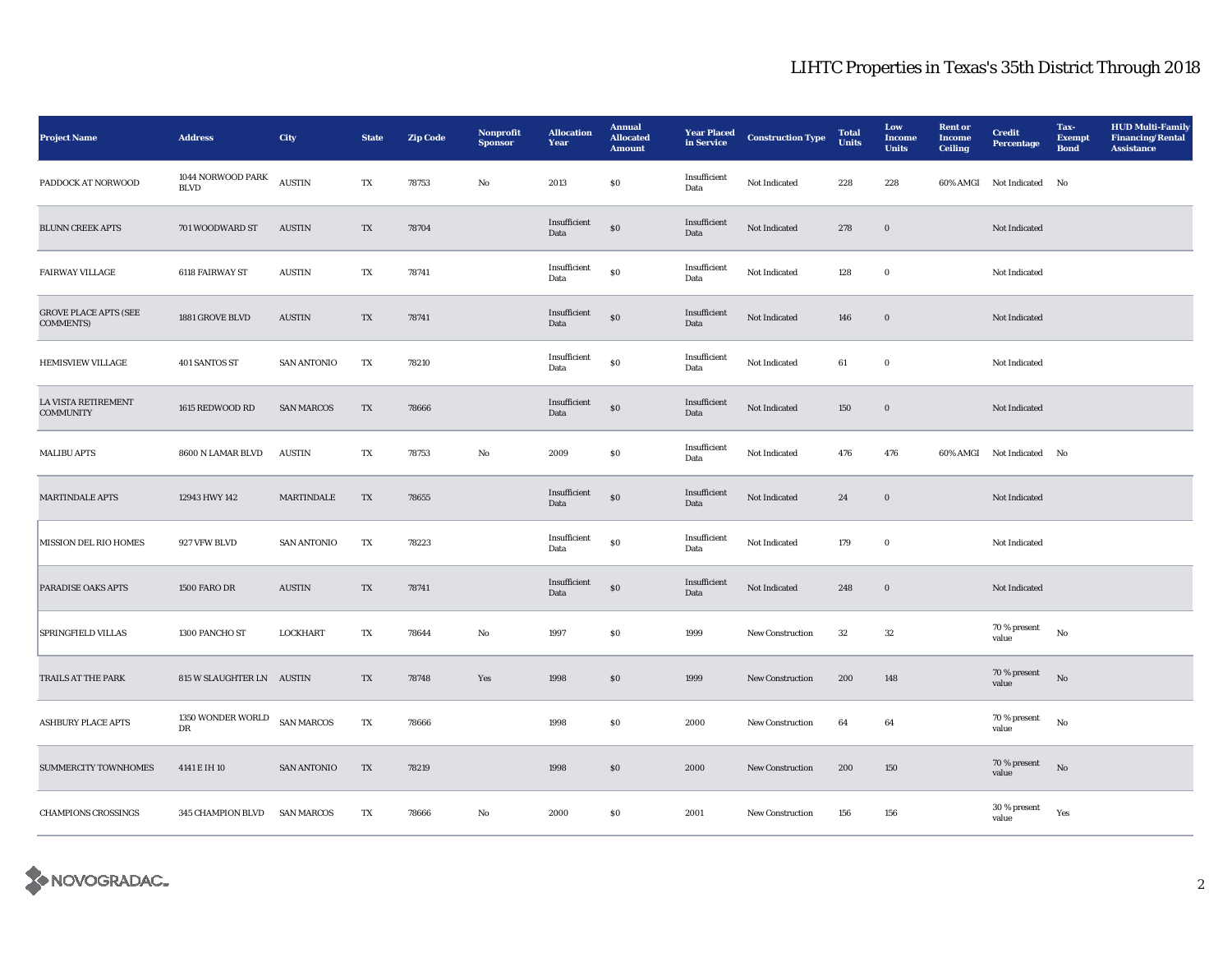| <b>Project Name</b>                              | <b>Address</b>                    | <b>City</b>        | <b>State</b> | <b>Zip Code</b> | Nonprofit<br><b>Sponsor</b> | <b>Allocation</b><br>Year | <b>Annual</b><br><b>Allocated</b><br><b>Amount</b> | <b>Year Placed</b><br>in Service | <b>Construction Type</b> | <b>Total</b><br><b>Units</b> | Low<br><b>Income</b><br><b>Units</b> | <b>Rent</b> or<br><b>Income</b><br><b>Ceiling</b> | <b>Credit</b><br><b>Percentage</b> | Tax-<br><b>Exempt</b><br><b>Bond</b> | <b>HUD Multi-Family</b><br><b>Financing/Rental</b><br><b>Assistance</b> |
|--------------------------------------------------|-----------------------------------|--------------------|--------------|-----------------|-----------------------------|---------------------------|----------------------------------------------------|----------------------------------|--------------------------|------------------------------|--------------------------------------|---------------------------------------------------|------------------------------------|--------------------------------------|-------------------------------------------------------------------------|
| PADDOCK AT NORWOOD                               | 1044 NORWOOD PARK<br><b>BLVD</b>  | <b>AUSTIN</b>      | TX           | 78753           | No                          | 2013                      | S <sub>0</sub>                                     | Insufficient<br>Data             | Not Indicated            | 228                          | 228                                  |                                                   | 60% AMGI Not Indicated No          |                                      |                                                                         |
| <b>BLUNN CREEK APTS</b>                          | 701 WOODWARD ST                   | <b>AUSTIN</b>      | TX           | 78704           |                             | Insufficient<br>Data      | $\$0$                                              | Insufficient<br>Data             | Not Indicated            | 278                          | $\bf{0}$                             |                                                   | Not Indicated                      |                                      |                                                                         |
| <b>FAIRWAY VILLAGE</b>                           | 6118 FAIRWAY ST                   | <b>AUSTIN</b>      | TX           | 78741           |                             | Insufficient<br>Data      | ${\bf S0}$                                         | Insufficient<br>Data             | Not Indicated            | 128                          | $\bf{0}$                             |                                                   | Not Indicated                      |                                      |                                                                         |
| <b>GROVE PLACE APTS (SEE</b><br><b>COMMENTS)</b> | 1881 GROVE BLVD                   | <b>AUSTIN</b>      | TX           | 78741           |                             | Insufficient<br>Data      | ${\bf S0}$                                         | Insufficient<br>Data             | Not Indicated            | 146                          | $\mathbf 0$                          |                                                   | Not Indicated                      |                                      |                                                                         |
| <b>HEMISVIEW VILLAGE</b>                         | 401 SANTOS ST                     | <b>SAN ANTONIO</b> | TX           | 78210           |                             | Insufficient<br>Data      | $\$0$                                              | Insufficient<br>Data             | Not Indicated            | 61                           | $\bf{0}$                             |                                                   | Not Indicated                      |                                      |                                                                         |
| <b>LA VISTA RETIREMENT</b><br><b>COMMUNITY</b>   | 1615 REDWOOD RD                   | <b>SAN MARCOS</b>  | TX           | 78666           |                             | Insufficient<br>Data      | $\$0$                                              | Insufficient<br>Data             | Not Indicated            | 150                          | $\mathbf 0$                          |                                                   | Not Indicated                      |                                      |                                                                         |
| <b>MALIBU APTS</b>                               | 8600 N LAMAR BLVD                 | <b>AUSTIN</b>      | TX           | 78753           | No                          | 2009                      | S <sub>0</sub>                                     | Insufficient<br>Data             | Not Indicated            | 476                          | 476                                  |                                                   | 60% AMGI Not Indicated No          |                                      |                                                                         |
| <b>MARTINDALE APTS</b>                           | 12943 HWY 142                     | <b>MARTINDALE</b>  | TX           | 78655           |                             | Insufficient<br>Data      | $\$0$                                              | Insufficient<br>Data             | Not Indicated            | 24                           | $\boldsymbol{0}$                     |                                                   | Not Indicated                      |                                      |                                                                         |
| MISSION DEL RIO HOMES                            | 927 VFW BLVD                      | <b>SAN ANTONIO</b> | TX           | 78223           |                             | Insufficient<br>Data      | ${\bf S0}$                                         | Insufficient<br>Data             | Not Indicated            | 179                          | $\mathbf 0$                          |                                                   | Not Indicated                      |                                      |                                                                         |
| <b>PARADISE OAKS APTS</b>                        | <b>1500 FARO DR</b>               | <b>AUSTIN</b>      | TX           | 78741           |                             | Insufficient<br>Data      | S <sub>0</sub>                                     | Insufficient<br>Data             | Not Indicated            | 248                          | $\bf{0}$                             |                                                   | Not Indicated                      |                                      |                                                                         |
| <b>SPRINGFIELD VILLAS</b>                        | 1300 PANCHO ST                    | <b>LOCKHART</b>    | TX           | 78644           | No                          | 1997                      | S <sub>0</sub>                                     | 1999                             | <b>New Construction</b>  | $32\,$                       | $32\,$                               |                                                   | 70 % present<br>value              | $_{\rm No}$                          |                                                                         |
| TRAILS AT THE PARK                               | 815 W SLAUGHTER LN AUSTIN         |                    | TX           | 78748           | Yes                         | 1998                      | $\boldsymbol{\mathsf{S}}\boldsymbol{\mathsf{0}}$   | 1999                             | <b>New Construction</b>  | 200                          | 148                                  |                                                   | 70 % present<br>value              | $\rm No$                             |                                                                         |
| <b>ASHBURY PLACE APTS</b>                        | $1350$ WONDER WORLD<br>${\rm DR}$ | <b>SAN MARCOS</b>  | TX           | 78666           |                             | 1998                      | $\boldsymbol{\mathsf{S}}\boldsymbol{\mathsf{0}}$   | 2000                             | New Construction         | 64                           | 64                                   |                                                   | 70 % present<br>value              | No                                   |                                                                         |
| <b>SUMMERCITY TOWNHOMES</b>                      | 4141 E IH 10                      | <b>SAN ANTONIO</b> | TX           | 78219           |                             | 1998                      | S <sub>0</sub>                                     | 2000                             | New Construction         | 200                          | 150                                  |                                                   | 70 % present<br>value              | No                                   |                                                                         |
| <b>CHAMPIONS CROSSINGS</b>                       | 345 CHAMPION BLVD                 | <b>SAN MARCOS</b>  | TX           | 78666           | No                          | 2000                      | \$0\$                                              | 2001                             | <b>New Construction</b>  | 156                          | 156                                  |                                                   | 30 % present<br>value              | Yes                                  |                                                                         |

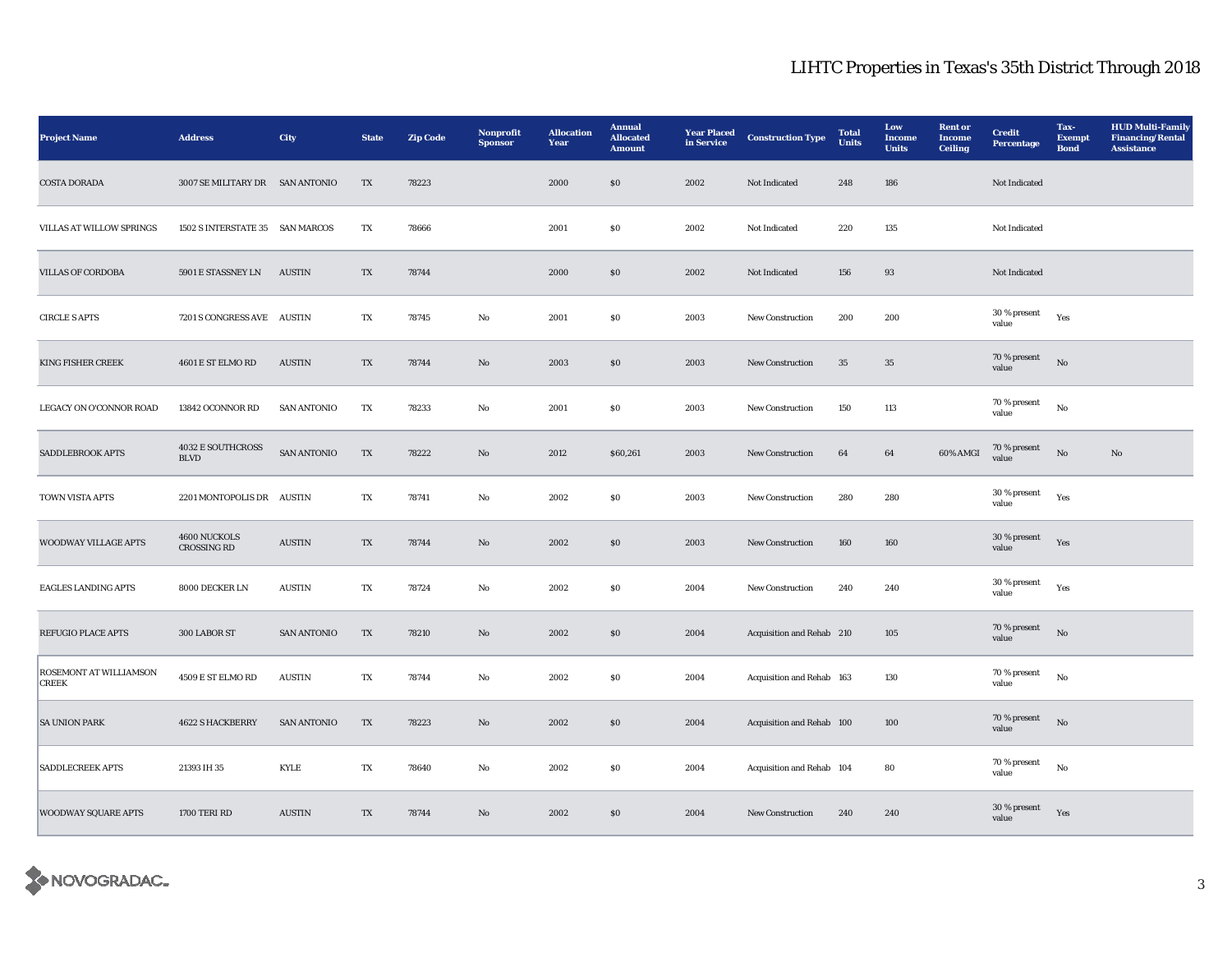| <b>Project Name</b>                    | <b>Address</b>                          | City               | <b>State</b> | <b>Zip Code</b> | Nonprofit<br><b>Sponsor</b> | <b>Allocation</b><br>Year | <b>Annual</b><br><b>Allocated</b><br><b>Amount</b> | <b>Year Placed</b><br>in Service | <b>Construction Type</b>  | <b>Total</b><br><b>Units</b> | Low<br>Income<br><b>Units</b> | <b>Rent</b> or<br><b>Income</b><br><b>Ceiling</b> | <b>Credit</b><br><b>Percentage</b> | Tax-<br><b>Exempt</b><br><b>Bond</b> | <b>HUD Multi-Family</b><br><b>Financing/Rental</b><br><b>Assistance</b> |
|----------------------------------------|-----------------------------------------|--------------------|--------------|-----------------|-----------------------------|---------------------------|----------------------------------------------------|----------------------------------|---------------------------|------------------------------|-------------------------------|---------------------------------------------------|------------------------------------|--------------------------------------|-------------------------------------------------------------------------|
| <b>COSTA DORADA</b>                    | 3007 SE MILITARY DR SAN ANTONIO         |                    | TX           | 78223           |                             | 2000                      | $\$0$                                              | 2002                             | Not Indicated             | 248                          | 186                           |                                                   | Not Indicated                      |                                      |                                                                         |
| <b>VILLAS AT WILLOW SPRINGS</b>        | 1502 S INTERSTATE 35 SAN MARCOS         |                    | TX           | 78666           |                             | 2001                      | $\$0$                                              | 2002                             | Not Indicated             | 220                          | 135                           |                                                   | Not Indicated                      |                                      |                                                                         |
| <b>VILLAS OF CORDOBA</b>               | 5901 E STASSNEY LN                      | <b>AUSTIN</b>      | TX           | 78744           |                             | 2000                      | \$0                                                | 2002                             | Not Indicated             | 156                          | 93                            |                                                   | Not Indicated                      |                                      |                                                                         |
| <b>CIRCLE S APTS</b>                   | 7201 S CONGRESS AVE AUSTIN              |                    | TX           | 78745           | No                          | 2001                      | S <sub>0</sub>                                     | 2003                             | New Construction          | 200                          | 200                           |                                                   | 30 % present<br>value              | Yes                                  |                                                                         |
| <b>KING FISHER CREEK</b>               | 4601 E ST ELMO RD                       | <b>AUSTIN</b>      | TX           | 78744           | No                          | 2003                      | \$0\$                                              | 2003                             | <b>New Construction</b>   | 35                           | 35                            |                                                   | 70 % present<br>value              | $\rm No$                             |                                                                         |
| LEGACY ON O'CONNOR ROAD                | 13842 OCONNOR RD                        | <b>SAN ANTONIO</b> | TX           | 78233           | No                          | 2001                      | SO.                                                | 2003                             | <b>New Construction</b>   | 150                          | 113                           |                                                   | 70 % present<br>value              | No                                   |                                                                         |
| SADDLEBROOK APTS                       | <b>4032 E SOUTHCROSS</b><br><b>BLVD</b> | <b>SAN ANTONIO</b> | TX           | 78222           | No                          | 2012                      | \$60,261                                           | 2003                             | New Construction          | 64                           | 64                            | 60% AMGI                                          | 70 % present<br>value              | $_{\rm No}$                          | $\mathbf{N}\mathbf{o}$                                                  |
| TOWN VISTA APTS                        | 2201 MONTOPOLIS DR AUSTIN               |                    | TX           | 78741           | No                          | 2002                      | S <sub>0</sub>                                     | 2003                             | New Construction          | 280                          | 280                           |                                                   | 30 % present<br>value              | Yes                                  |                                                                         |
| WOODWAY VILLAGE APTS                   | 4600 NUCKOLS<br>CROSSING RD             | <b>AUSTIN</b>      | TX           | 78744           | $\rm No$                    | 2002                      | $\boldsymbol{\mathsf{S}}\boldsymbol{\mathsf{0}}$   | 2003                             | New Construction          | 160                          | 160                           |                                                   | 30 % present<br>value              | Yes                                  |                                                                         |
| <b>EAGLES LANDING APTS</b>             | 8000 DECKER LN                          | <b>AUSTIN</b>      | TX           | 78724           | No                          | 2002                      | S <sub>0</sub>                                     | 2004                             | New Construction          | 240                          | 240                           |                                                   | 30 % present<br>value              | Yes                                  |                                                                         |
| REFUGIO PLACE APTS                     | 300 LABOR ST                            | <b>SAN ANTONIO</b> | TX           | 78210           | No                          | 2002                      | S <sub>0</sub>                                     | 2004                             | Acquisition and Rehab 210 |                              | 105                           |                                                   | 70 % present<br>value              | $\rm No$                             |                                                                         |
| ROSEMONT AT WILLIAMSON<br><b>CREEK</b> | 4509 E ST ELMO RD                       | <b>AUSTIN</b>      | TX           | 78744           | No                          | 2002                      | $\boldsymbol{\mathsf{S}}\boldsymbol{\mathsf{0}}$   | 2004                             | Acquisition and Rehab 163 |                              | 130                           |                                                   | 70 % present<br>value              | No                                   |                                                                         |
| <b>SA UNION PARK</b>                   | <b>4622 S HACKBERRY</b>                 | <b>SAN ANTONIO</b> | TX           | 78223           | No                          | 2002                      | \$0\$                                              | 2004                             | Acquisition and Rehab 100 |                              | 100                           |                                                   | 70 % present<br>value              | No                                   |                                                                         |
| <b>SADDLECREEK APTS</b>                | 21393 IH 35                             | <b>KYLE</b>        | TX           | 78640           | No                          | 2002                      | <b>SO</b>                                          | 2004                             | Acquisition and Rehab 104 |                              | 80                            |                                                   | 70 % present<br>value              | $\rm No$                             |                                                                         |
| <b>WOODWAY SQUARE APTS</b>             | 1700 TERI RD                            | <b>AUSTIN</b>      | TX           | 78744           | No                          | 2002                      | \$0\$                                              | 2004                             | <b>New Construction</b>   | 240                          | 240                           |                                                   | $30\,\%$ present<br>value          | Yes                                  |                                                                         |

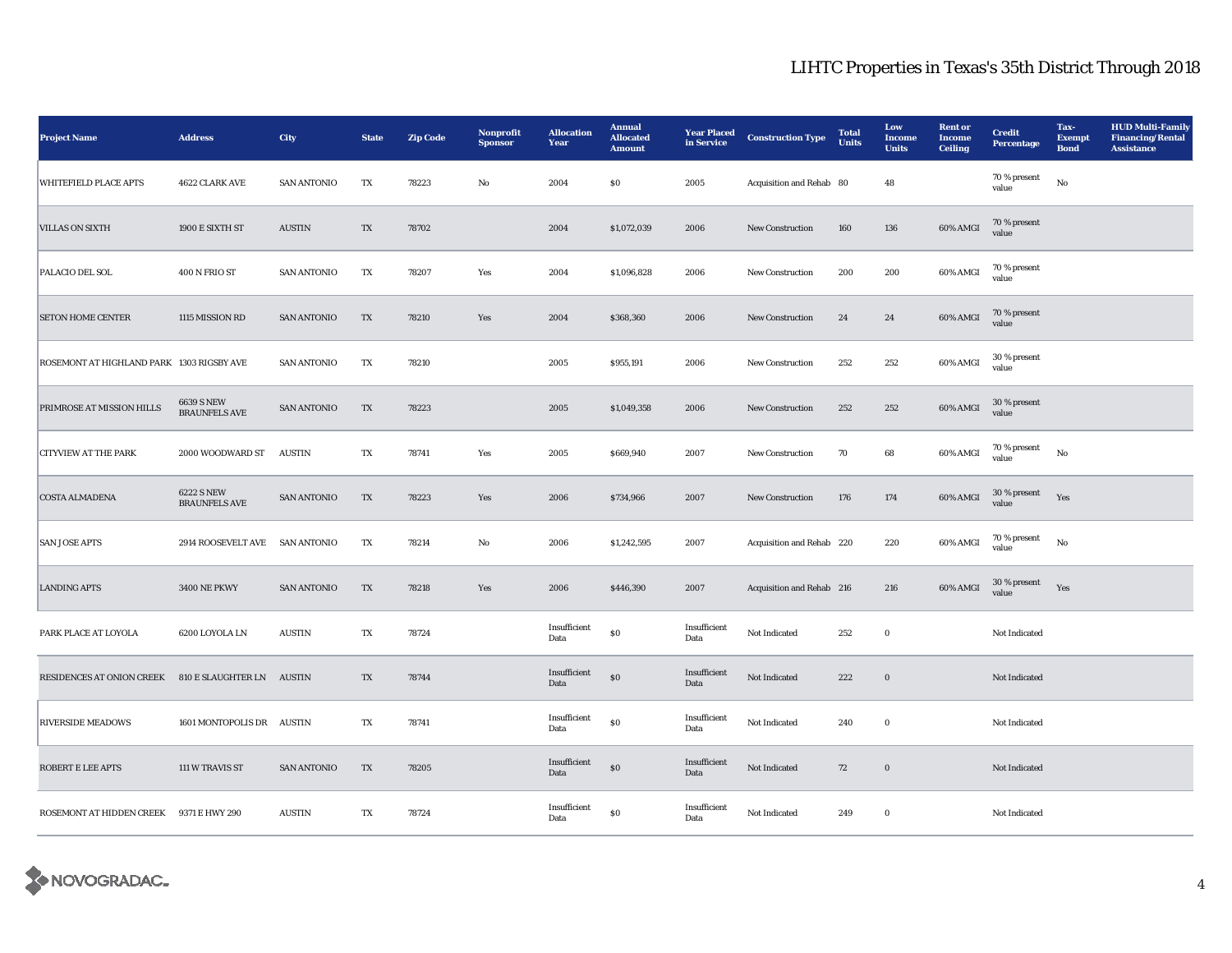| <b>Project Name</b>                                 | <b>Address</b>                            | City               | <b>State</b>            | <b>Zip Code</b> | Nonprofit<br><b>Sponsor</b> | <b>Allocation</b><br>Year | <b>Annual</b><br><b>Allocated</b><br><b>Amount</b> | <b>Year Placed</b><br>in Service | <b>Construction Type</b>  | <b>Total</b><br>Units | Low<br>Income<br><b>Units</b> | <b>Rent</b> or<br><b>Income</b><br><b>Ceiling</b> | <b>Credit</b><br>Percentage | Tax-<br><b>Exempt</b><br><b>Bond</b> | <b>HUD Multi-Family</b><br><b>Financing/Rental</b><br><b>Assistance</b> |
|-----------------------------------------------------|-------------------------------------------|--------------------|-------------------------|-----------------|-----------------------------|---------------------------|----------------------------------------------------|----------------------------------|---------------------------|-----------------------|-------------------------------|---------------------------------------------------|-----------------------------|--------------------------------------|-------------------------------------------------------------------------|
| <b>WHITEFIELD PLACE APTS</b>                        | 4622 CLARK AVE                            | <b>SAN ANTONIO</b> | TX                      | 78223           | No                          | 2004                      | S <sub>0</sub>                                     | 2005                             | Acquisition and Rehab 80  |                       | 48                            |                                                   | 70 % present<br>value       | $_{\rm No}$                          |                                                                         |
| <b>VILLAS ON SIXTH</b>                              | 1900 E SIXTH ST                           | <b>AUSTIN</b>      | $\mathbf{T} \mathbf{X}$ | 78702           |                             | 2004                      | \$1,072,039                                        | 2006                             | New Construction          | 160                   | 136                           | 60% AMGI                                          | 70 % present<br>value       |                                      |                                                                         |
| PALACIO DEL SOL                                     | 400 N FRIO ST                             | <b>SAN ANTONIO</b> | TX                      | 78207           | Yes                         | 2004                      | \$1,096,828                                        | 2006                             | <b>New Construction</b>   | 200                   | 200                           | 60% AMGI                                          | 70 % present<br>value       |                                      |                                                                         |
| <b>SETON HOME CENTER</b>                            | 1115 MISSION RD                           | <b>SAN ANTONIO</b> | TX                      | 78210           | Yes                         | 2004                      | \$368,360                                          | 2006                             | <b>New Construction</b>   | 24                    | 24                            | 60% AMGI                                          | 70 % present<br>value       |                                      |                                                                         |
| ROSEMONT AT HIGHLAND PARK 1303 RIGSBY AVE           |                                           | <b>SAN ANTONIO</b> | TX                      | 78210           |                             | 2005                      | \$955,191                                          | 2006                             | New Construction          | 252                   | 252                           | 60% AMGI                                          | 30 % present<br>value       |                                      |                                                                         |
| PRIMROSE AT MISSION HILLS                           | <b>6639 S NEW</b><br><b>BRAUNFELS AVE</b> | <b>SAN ANTONIO</b> | TX                      | 78223           |                             | 2005                      | \$1,049,358                                        | 2006                             | <b>New Construction</b>   | 252                   | 252                           | 60% AMGI                                          | 30 % present<br>value       |                                      |                                                                         |
| <b>CITYVIEW AT THE PARK</b>                         | 2000 WOODWARD ST                          | <b>AUSTIN</b>      | TX                      | 78741           | Yes                         | 2005                      | \$669,940                                          | 2007                             | New Construction          | 70                    | 68                            | 60% AMGI                                          | $70\,\%$ present<br>value   | $_{\rm No}$                          |                                                                         |
| <b>COSTA ALMADENA</b>                               | <b>6222 S NEW</b><br><b>BRAUNFELS AVE</b> | SAN ANTONIO        | TX                      | 78223           | Yes                         | 2006                      | \$734,966                                          | 2007                             | New Construction          | 176                   | 174                           | 60% AMGI                                          | 30 % present<br>value       | Yes                                  |                                                                         |
| <b>SAN JOSE APTS</b>                                | 2914 ROOSEVELT AVE SAN ANTONIO            |                    | TX                      | 78214           | No                          | 2006                      | \$1,242,595                                        | 2007                             | Acquisition and Rehab 220 |                       | 220                           | 60% AMGI                                          | $70\,\%$ present<br>value   | No                                   |                                                                         |
| <b>LANDING APTS</b>                                 | <b>3400 NE PKWY</b>                       | <b>SAN ANTONIO</b> | TX                      | 78218           | Yes                         | 2006                      | \$446,390                                          | 2007                             | Acquisition and Rehab 216 |                       | 216                           | 60% AMGI                                          | 30 % present<br>value       | Yes                                  |                                                                         |
| PARK PLACE AT LOYOLA                                | 6200 LOYOLA LN                            | <b>AUSTIN</b>      | TX                      | 78724           |                             | Insufficient<br>Data      | $\bf{S0}$                                          | Insufficient<br>Data             | Not Indicated             | 252                   | $\bf{0}$                      |                                                   | Not Indicated               |                                      |                                                                         |
| RESIDENCES AT ONION CREEK 810 E SLAUGHTER LN AUSTIN |                                           |                    | TX                      | 78744           |                             | Insufficient<br>Data      | $\boldsymbol{\mathsf{S}}\boldsymbol{\mathsf{O}}$   | Insufficient<br>Data             | Not Indicated             | 222                   | $\boldsymbol{0}$              |                                                   | Not Indicated               |                                      |                                                                         |
| <b>RIVERSIDE MEADOWS</b>                            | 1601 MONTOPOLIS DR AUSTIN                 |                    | TX                      | 78741           |                             | Insufficient<br>Data      | $\$0$                                              | Insufficient<br>Data             | Not Indicated             | 240                   | $\bf{0}$                      |                                                   | Not Indicated               |                                      |                                                                         |
| <b>ROBERT E LEE APTS</b>                            | 111 W TRAVIS ST                           | <b>SAN ANTONIO</b> | TX                      | 78205           |                             | Insufficient<br>Data      | $\$0$                                              | Insufficient<br>Data             | Not Indicated             | 72                    | $\boldsymbol{0}$              |                                                   | Not Indicated               |                                      |                                                                         |
| ROSEMONT AT HIDDEN CREEK 9371 E HWY 290             |                                           | <b>AUSTIN</b>      | TX                      | 78724           |                             | Insufficient<br>Data      | $\bf{S0}$                                          | Insufficient<br>Data             | Not Indicated             | 249                   | $\mathbf 0$                   |                                                   | Not Indicated               |                                      |                                                                         |

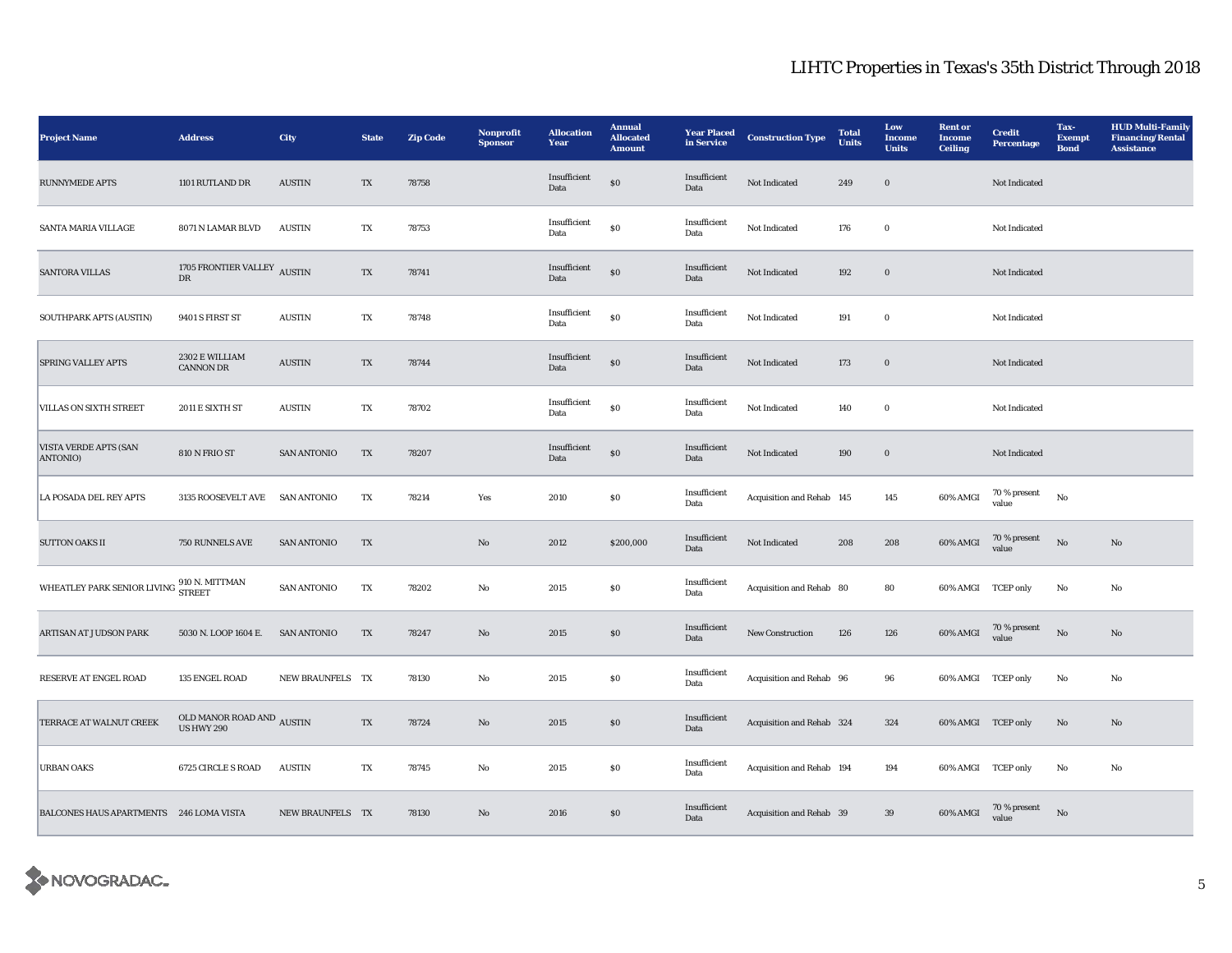| <b>Project Name</b>                                                        | <b>Address</b>                                 | <b>City</b>                    | <b>State</b>           | <b>Zip Code</b> | Nonprofit<br><b>Sponsor</b> | <b>Allocation</b><br>Year       | <b>Annual</b><br><b>Allocated</b><br><b>Amount</b> | <b>Year Placed</b><br>in Service | <b>Construction Type</b>  | <b>Total</b><br><b>Units</b> | Low<br>Income<br><b>Units</b> | <b>Rent</b> or<br>Income<br><b>Ceiling</b> | <b>Credit</b><br><b>Percentage</b> | Tax-<br><b>Exempt</b><br><b>Bond</b> | <b>HUD Multi-Family</b><br><b>Financing/Rental</b><br><b>Assistance</b> |
|----------------------------------------------------------------------------|------------------------------------------------|--------------------------------|------------------------|-----------------|-----------------------------|---------------------------------|----------------------------------------------------|----------------------------------|---------------------------|------------------------------|-------------------------------|--------------------------------------------|------------------------------------|--------------------------------------|-------------------------------------------------------------------------|
| <b>RUNNYMEDE APTS</b>                                                      | 1101 RUTLAND DR                                | <b>AUSTIN</b>                  | TX                     | 78758           |                             | Insufficient<br>Data            | ${\bf S0}$                                         | Insufficient<br>Data             | Not Indicated             | 249                          | $\boldsymbol{0}$              |                                            | Not Indicated                      |                                      |                                                                         |
| SANTA MARIA VILLAGE                                                        | 8071 N LAMAR BLVD                              | <b>AUSTIN</b>                  | TX                     | 78753           |                             | Insufficient<br>Data            | $\$0$                                              | Insufficient<br>Data             | Not Indicated             | 176                          | $\bf{0}$                      |                                            | Not Indicated                      |                                      |                                                                         |
| <b>SANTORA VILLAS</b>                                                      | 1705 FRONTIER VALLEY<br>${\rm D}{\rm R}$       | <b>AUSTIN</b>                  | TX                     | 78741           |                             | Insufficient<br>Data            | ${\bf S0}$                                         | Insufficient<br>Data             | Not Indicated             | 192                          | $\boldsymbol{0}$              |                                            | Not Indicated                      |                                      |                                                                         |
| SOUTHPARK APTS (AUSTIN)                                                    | 9401 S FIRST ST                                | <b>AUSTIN</b>                  | $\mathbf{T}\mathbf{X}$ | 78748           |                             | Insufficient<br>Data            | $\bf S0$                                           | Insufficient<br>Data             | Not Indicated             | 191                          | $\mathbf 0$                   |                                            | Not Indicated                      |                                      |                                                                         |
| <b>SPRING VALLEY APTS</b>                                                  | 2302 E WILLIAM<br><b>CANNON DR</b>             | $\boldsymbol{\mathrm{AUSTIN}}$ | TX                     | 78744           |                             | Insufficient<br>Data            | ${\bf S0}$                                         | Insufficient<br>Data             | Not Indicated             | 173                          | $\mathbf 0$                   |                                            | Not Indicated                      |                                      |                                                                         |
| <b>VILLAS ON SIXTH STREET</b>                                              | 2011 E SIXTH ST                                | <b>AUSTIN</b>                  | TX                     | 78702           |                             | Insufficient<br>Data            | ${\bf S0}$                                         | Insufficient<br>Data             | Not Indicated             | 140                          | $\bf{0}$                      |                                            | Not Indicated                      |                                      |                                                                         |
| <b>VISTA VERDE APTS (SAN</b><br>ANTONIO)                                   | 810 N FRIO ST                                  | <b>SAN ANTONIO</b>             | TX                     | 78207           |                             | Insufficient<br>$\mathbf{Data}$ | $\$0$                                              | Insufficient<br>$\mathbf{Data}$  | Not Indicated             | 190                          | $\boldsymbol{0}$              |                                            | Not Indicated                      |                                      |                                                                         |
| LA POSADA DEL REY APTS                                                     | 3135 ROOSEVELT AVE                             | <b>SAN ANTONIO</b>             | TX                     | 78214           | Yes                         | 2010                            | $\boldsymbol{\mathsf{S}}\boldsymbol{\mathsf{0}}$   | Insufficient<br>Data             | Acquisition and Rehab 145 |                              | 145                           | 60% AMGI                                   | 70 % present<br>value              | $\rm No$                             |                                                                         |
| <b>SUTTON OAKS II</b>                                                      | 750 RUNNELS AVE                                | <b>SAN ANTONIO</b>             | TX                     |                 | $\mathbf{N}\mathbf{o}$      | 2012                            | \$200,000                                          | Insufficient<br>Data             | Not Indicated             | 208                          | 208                           | 60% AMGI                                   | 70 % present<br>value              | No                                   | $\mathbf{No}$                                                           |
| WHEATLEY PARK SENIOR LIVING $\frac{910 \text{ N. MITTMAN}}{\text{STREET}}$ |                                                | <b>SAN ANTONIO</b>             | TX                     | 78202           | $_{\rm No}$                 | 2015                            | $\$0$                                              | Insufficient<br>Data             | Acquisition and Rehab 80  |                              | 80                            | 60% AMGI TCEP only                         |                                    | No                                   | No                                                                      |
| ARTISAN AT JUDSON PARK                                                     | 5030 N. LOOP 1604 E.                           | <b>SAN ANTONIO</b>             | TX                     | 78247           | $\rm No$                    | $\boldsymbol{2015}$             | $\bf{S0}$                                          | Insufficient<br>Data             | New Construction          | 126                          | 126                           | $60\%$ AMGI                                | 70 % present<br>value              | $\rm\thinspace No$                   | $\mathbf{No}$                                                           |
| RESERVE AT ENGEL ROAD                                                      | 135 ENGEL ROAD                                 | NEW BRAUNFELS TX               |                        | 78130           | No                          | 2015                            | $\boldsymbol{\mathsf{S}}\boldsymbol{\mathsf{0}}$   | Insufficient<br>Data             | Acquisition and Rehab 96  |                              | 96                            | 60% AMGI TCEP only                         |                                    | No                                   | No                                                                      |
| TERRACE AT WALNUT CREEK                                                    | OLD MANOR ROAD AND $\,$ AUSTIN US HWY 290 $\,$ |                                | TX                     | 78724           | $\mathbf{N}\mathbf{o}$      | 2015                            | $\$0$                                              | Insufficient<br>Data             | Acquisition and Rehab 324 |                              | 324                           | 60% AMGI TCEP only                         |                                    | No                                   | No                                                                      |
| <b>URBAN OAKS</b>                                                          | 6725 CIRCLE S ROAD                             | <b>AUSTIN</b>                  | TX                     | 78745           | No                          | 2015                            | \$0                                                | Insufficient<br>Data             | Acquisition and Rehab 194 |                              | 194                           | 60% AMGI TCEP only                         |                                    | No                                   | No                                                                      |
| BALCONES HAUS APARTMENTS 246 LOMA VISTA                                    |                                                | NEW BRAUNFELS TX               |                        | 78130           | No                          | 2016                            | \$0                                                | Insufficient<br>Data             | Acquisition and Rehab 39  |                              | 39                            | $60\%$ AMGI                                | 70 % present<br>value              | $\mathbf{N}\mathbf{o}$               |                                                                         |

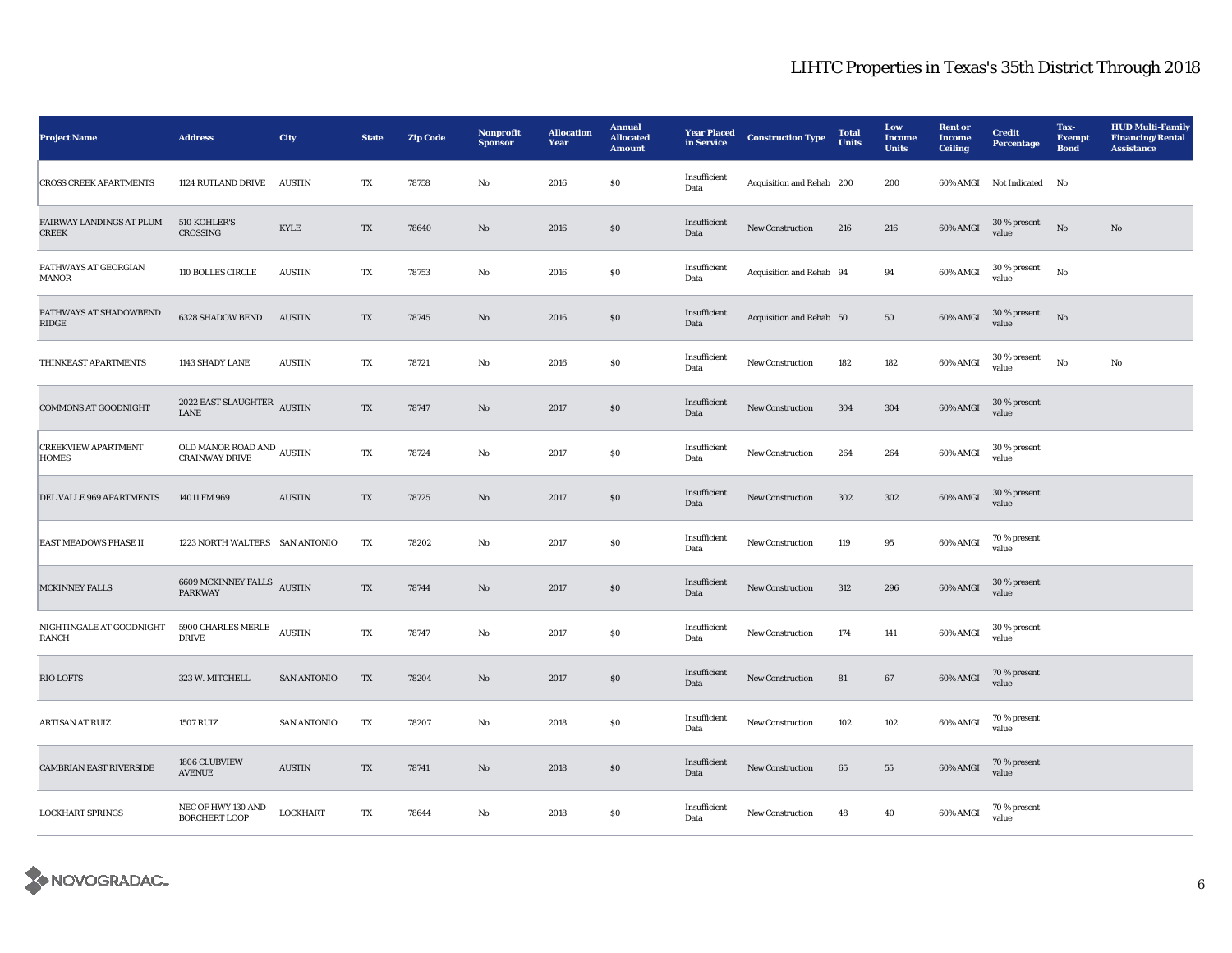| <b>Project Name</b>                        | <b>Address</b>                                      | <b>City</b>                    | <b>State</b> | <b>Zip Code</b> | Nonprofit<br><b>Sponsor</b> | <b>Allocation</b><br>Year | <b>Annual</b><br><b>Allocated</b><br><b>Amount</b> | <b>Year Placed</b><br>in Service | <b>Construction Type</b>  | <b>Total</b><br><b>Units</b> | Low<br>Income<br><b>Units</b> | <b>Rent</b> or<br>Income<br><b>Ceiling</b> | <b>Credit</b><br>Percentage | Tax-<br><b>Exempt</b><br><b>Bond</b> | <b>HUD Multi-Family</b><br><b>Financing/Rental</b><br><b>Assistance</b> |
|--------------------------------------------|-----------------------------------------------------|--------------------------------|--------------|-----------------|-----------------------------|---------------------------|----------------------------------------------------|----------------------------------|---------------------------|------------------------------|-------------------------------|--------------------------------------------|-----------------------------|--------------------------------------|-------------------------------------------------------------------------|
| <b>CROSS CREEK APARTMENTS</b>              | 1124 RUTLAND DRIVE                                  | <b>AUSTIN</b>                  | TX           | 78758           | No                          | 2016                      | \$0                                                | Insufficient<br>Data             | Acquisition and Rehab 200 |                              | 200                           |                                            | 60% AMGI Not Indicated      | No                                   |                                                                         |
| FAIRWAY LANDINGS AT PLUM<br><b>CREEK</b>   | 510 KOHLER'S<br>CROSSING                            | KYLE                           | TX           | 78640           | No                          | 2016                      | S <sub>0</sub>                                     | Insufficient<br>Data             | New Construction          | 216                          | 216                           | 60% AMGI                                   | 30 % present<br>value       | No                                   | $\mathbf{N}\mathbf{o}$                                                  |
| PATHWAYS AT GEORGIAN<br>MANOR              | 110 BOLLES CIRCLE                                   | <b>AUSTIN</b>                  | TX           | 78753           | No                          | 2016                      | $\boldsymbol{\mathsf{S}}\boldsymbol{\mathsf{0}}$   | Insufficient<br>Data             | Acquisition and Rehab 94  |                              | 94                            | 60% AMGI                                   | 30 % present<br>value       | $_{\rm No}$                          |                                                                         |
| PATHWAYS AT SHADOWBEND<br>$\mathbf{RIDGE}$ | 6328 SHADOW BEND                                    | $\boldsymbol{\mathrm{AUSTIN}}$ | TX           | 78745           | No                          | 2016                      | $\$0$                                              | Insufficient<br>Data             | Acquisition and Rehab 50  |                              | $50\,$                        | 60% AMGI                                   | $30\,\%$ present<br>value   | No                                   |                                                                         |
| THINKEAST APARTMENTS                       | 1143 SHADY LANE                                     | <b>AUSTIN</b>                  | TX           | 78721           | No                          | 2016                      | $\boldsymbol{\mathsf{S}}\boldsymbol{\mathsf{0}}$   | Insufficient<br>Data             | New Construction          | 182                          | 182                           | 60% AMGI                                   | 30 % present<br>value       | No                                   | No                                                                      |
| <b>COMMONS AT GOODNIGHT</b>                | 2022 EAST SLAUGHTER AUSTIN<br>LANE                  |                                | TX           | 78747           | No                          | 2017                      | \$0\$                                              | Insufficient<br>Data             | <b>New Construction</b>   | 304                          | 304                           | 60% AMGI                                   | 30 % present<br>value       |                                      |                                                                         |
| <b>CREEKVIEW APARTMENT</b><br><b>HOMES</b> | OLD MANOR ROAD AND AUSTIN<br><b>CRAINWAY DRIVE</b>  |                                | TX           | 78724           | No                          | 2017                      | ${\bf S0}$                                         | Insufficient<br>Data             | <b>New Construction</b>   | 264                          | 264                           | 60% AMGI                                   | 30 % present<br>value       |                                      |                                                                         |
| DEL VALLE 969 APARTMENTS                   | 14011 FM 969                                        | <b>AUSTIN</b>                  | TX           | 78725           | No                          | 2017                      | \$0\$                                              | Insufficient<br>Data             | New Construction          | 302                          | 302                           | 60% AMGI                                   | 30 % present<br>value       |                                      |                                                                         |
| <b>EAST MEADOWS PHASE II</b>               | 1223 NORTH WALTERS SAN ANTONIO                      |                                | TX           | 78202           | No                          | 2017                      | S <sub>0</sub>                                     | Insufficient<br>Data             | New Construction          | 119                          | 95                            | 60% AMGI                                   | 70 % present<br>value       |                                      |                                                                         |
| MCKINNEY FALLS                             | <b>6609 MCKINNEY FALLS</b> AUSTIN<br><b>PARKWAY</b> |                                | TX           | 78744           | No                          | 2017                      | \$0\$                                              | Insufficient<br>Data             | New Construction          | 312                          | 296                           | 60% AMGI                                   | 30 % present<br>value       |                                      |                                                                         |
| NIGHTINGALE AT GOODNIGHT<br>RANCH          | 5900 CHARLES MERLE<br><b>DRIVE</b>                  | <b>AUSTIN</b>                  | TX           | 78747           | No                          | 2017                      | $\boldsymbol{\mathsf{S}}\boldsymbol{\mathsf{0}}$   | Insufficient<br>Data             | New Construction          | 174                          | 141                           | <b>60% AMGI</b>                            | 30 % present<br>value       |                                      |                                                                         |
| <b>RIO LOFTS</b>                           | 323 W. MITCHELL                                     | <b>SAN ANTONIO</b>             | TX           | 78204           | No                          | 2017                      | \$0\$                                              | Insufficient<br>Data             | New Construction          | 81                           | 67                            | 60% AMGI                                   | 70 % present<br>value       |                                      |                                                                         |
| <b>ARTISAN AT RUIZ</b>                     | <b>1507 RUIZ</b>                                    | <b>SAN ANTONIO</b>             | TX           | 78207           | No                          | 2018                      | $\$0$                                              | Insufficient<br>Data             | <b>New Construction</b>   | 102                          | 102                           | 60% AMGI                                   | 70 % present<br>value       |                                      |                                                                         |
| <b>CAMBRIAN EAST RIVERSIDE</b>             | 1806 CLUBVIEW<br><b>AVENUE</b>                      | <b>AUSTIN</b>                  | TX           | 78741           | No                          | 2018                      | \$0\$                                              | Insufficient<br>Data             | New Construction          | 65                           | 55                            | 60% AMGI                                   | 70 % present<br>value       |                                      |                                                                         |
| <b>LOCKHART SPRINGS</b>                    | NEC OF HWY 130 AND<br><b>BORCHERT LOOP</b>          | <b>LOCKHART</b>                | TX           | 78644           | No                          | 2018                      | \$0                                                | Insufficient<br>Data             | New Construction          | 48                           | 40                            | 60% AMGI                                   | 70 % present<br>value       |                                      |                                                                         |

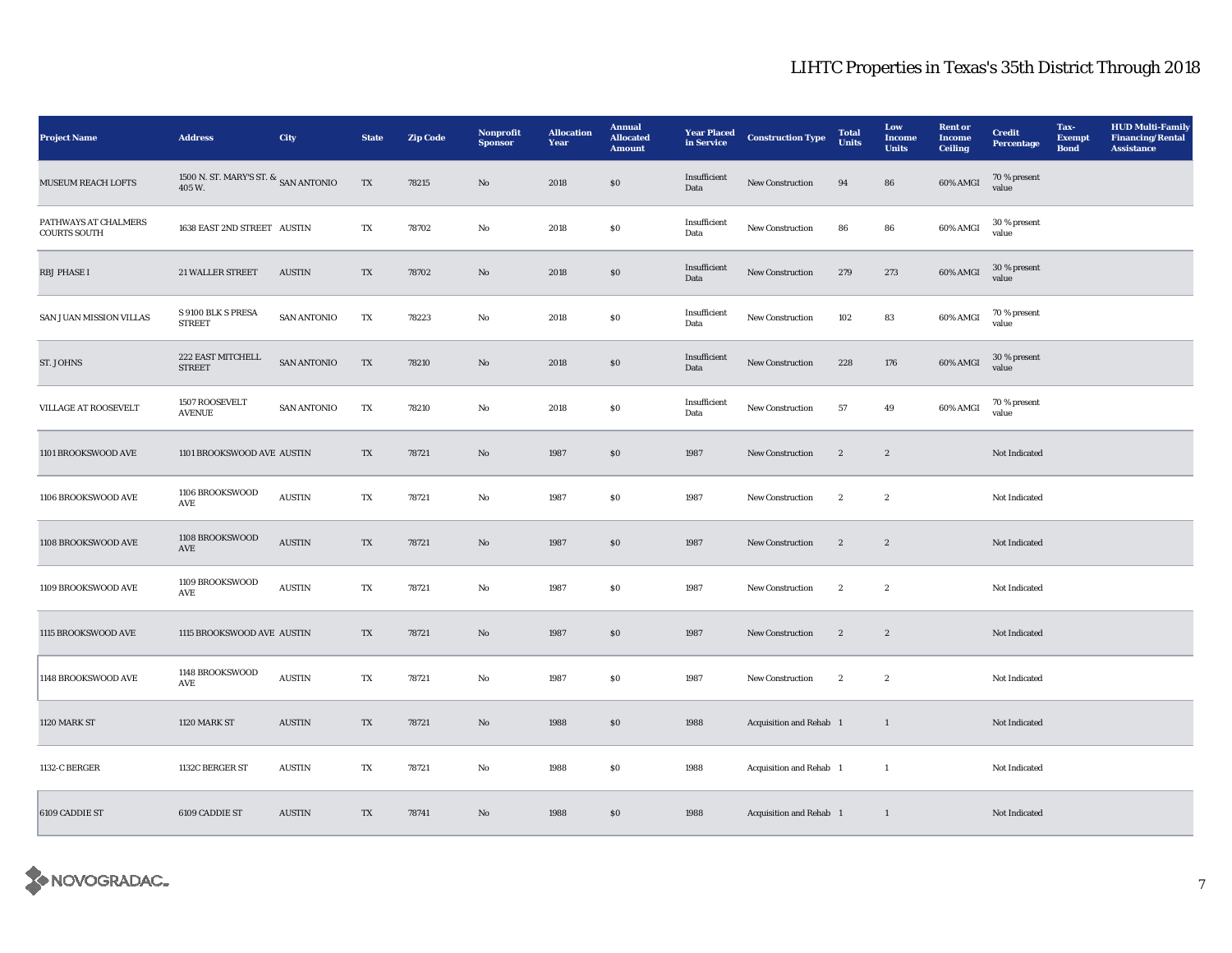| <b>Project Name</b>                         | <b>Address</b>                                    | City               | <b>State</b> | <b>Zip Code</b> | <b>Nonprofit</b><br><b>Sponsor</b> | <b>Allocation</b><br>Year | <b>Annual</b><br><b>Allocated</b><br><b>Amount</b> | <b>Year Placed</b><br>in Service | <b>Construction Type</b> | <b>Total</b><br><b>Units</b> | Low<br><b>Income</b><br><b>Units</b> | <b>Rent</b> or<br><b>Income</b><br><b>Ceiling</b> | <b>Credit</b><br><b>Percentage</b> | Tax-<br><b>Exempt</b><br><b>Bond</b> | <b>HUD Multi-Family</b><br><b>Financing/Rental</b><br><b>Assistance</b> |
|---------------------------------------------|---------------------------------------------------|--------------------|--------------|-----------------|------------------------------------|---------------------------|----------------------------------------------------|----------------------------------|--------------------------|------------------------------|--------------------------------------|---------------------------------------------------|------------------------------------|--------------------------------------|-------------------------------------------------------------------------|
| <b>MUSEUM REACH LOFTS</b>                   | 1500 N. ST. MARY'S ST. $\&$ SAN ANTONIO<br>405 W. |                    | TX           | 78215           | No                                 | 2018                      | \$0\$                                              | Insufficient<br>Data             | <b>New Construction</b>  | 94                           | 86                                   | 60% AMGI                                          | 70 % present<br>value              |                                      |                                                                         |
| PATHWAYS AT CHALMERS<br><b>COURTS SOUTH</b> | 1638 EAST 2ND STREET AUSTIN                       |                    | TX           | 78702           | No                                 | 2018                      | ${\bf S0}$                                         | Insufficient<br>Data             | New Construction         | 86                           | 86                                   | 60% AMGI                                          | 30 % present<br>value              |                                      |                                                                         |
| <b>RBJ PHASE I</b>                          | 21 WALLER STREET                                  | <b>AUSTIN</b>      | TX           | 78702           | No                                 | 2018                      | $\$0$                                              | Insufficient<br>Data             | New Construction         | 279                          | 273                                  | 60% AMGI                                          | 30 % present<br>value              |                                      |                                                                         |
| SAN JUAN MISSION VILLAS                     | S 9100 BLK S PRESA<br><b>STREET</b>               | <b>SAN ANTONIO</b> | TX           | 78223           | No                                 | 2018                      | ${\bf S0}$                                         | Insufficient<br>Data             | New Construction         | 102                          | 83                                   | 60% AMGI                                          | 70 % present<br>value              |                                      |                                                                         |
| ST. JOHNS                                   | 222 EAST MITCHELL<br><b>STREET</b>                | <b>SAN ANTONIO</b> | TX           | 78210           | $\mathbf{N}\mathbf{o}$             | 2018                      | $\$0$                                              | Insufficient<br>Data             | New Construction         | 228                          | 176                                  | 60% AMGI                                          | 30 % present<br>value              |                                      |                                                                         |
| <b>VILLAGE AT ROOSEVELT</b>                 | 1507 ROOSEVELT<br><b>AVENUE</b>                   | <b>SAN ANTONIO</b> | TX           | 78210           | No                                 | 2018                      | ${\bf S0}$                                         | Insufficient<br>Data             | New Construction         | 57                           | 49                                   | 60% AMGI                                          | 70 % present<br>value              |                                      |                                                                         |
| 1101 BROOKSWOOD AVE                         | 1101 BROOKSWOOD AVE AUSTIN                        |                    | TX           | 78721           | No                                 | 1987                      | $\$0$                                              | 1987                             | New Construction         | $\boldsymbol{2}$             | $\sqrt{2}$                           |                                                   | Not Indicated                      |                                      |                                                                         |
| 1106 BROOKSWOOD AVE                         | 1106 BROOKSWOOD<br>AVE                            | <b>AUSTIN</b>      | TX           | 78721           | No                                 | 1987                      | \$0\$                                              | 1987                             | New Construction         | $\boldsymbol{2}$             | $\boldsymbol{2}$                     |                                                   | Not Indicated                      |                                      |                                                                         |
| 1108 BROOKSWOOD AVE                         | 1108 BROOKSWOOD<br>AVE                            | <b>AUSTIN</b>      | TX           | 78721           | No                                 | 1987                      | $\$0$                                              | 1987                             | New Construction         | $\boldsymbol{2}$             | $\boldsymbol{2}$                     |                                                   | Not Indicated                      |                                      |                                                                         |
| 1109 BROOKSWOOD AVE                         | 1109 BROOKSWOOD<br>AVE                            | <b>AUSTIN</b>      | TX           | 78721           | No                                 | 1987                      | \$0\$                                              | 1987                             | <b>New Construction</b>  | $\boldsymbol{2}$             | $\boldsymbol{2}$                     |                                                   | Not Indicated                      |                                      |                                                                         |
| 1115 BROOKSWOOD AVE                         | 1115 BROOKSWOOD AVE AUSTIN                        |                    | TX           | 78721           | $\mathbf{N}\mathbf{o}$             | 1987                      | $\bf{S0}$                                          | 1987                             | New Construction         | $\boldsymbol{2}$             | $\boldsymbol{2}$                     |                                                   | Not Indicated                      |                                      |                                                                         |
| 1148 BROOKSWOOD AVE                         | 1148 BROOKSWOOD<br>AVE                            | <b>AUSTIN</b>      | TX           | 78721           | No                                 | 1987                      | $\$0$                                              | 1987                             | New Construction         | $\boldsymbol{2}$             | $\boldsymbol{2}$                     |                                                   | Not Indicated                      |                                      |                                                                         |
| 1120 MARK ST                                | 1120 MARK ST                                      | <b>AUSTIN</b>      | TX           | 78721           | $\mathbf{N}\mathbf{o}$             | 1988                      | \$0\$                                              | 1988                             | Acquisition and Rehab 1  |                              | $\mathbf{1}$                         |                                                   | Not Indicated                      |                                      |                                                                         |
| 1132-C BERGER                               | 1132C BERGER ST                                   | <b>AUSTIN</b>      | TX           | 78721           | No                                 | 1988                      | ${\bf S0}$                                         | 1988                             | Acquisition and Rehab 1  |                              | $\mathbf{1}$                         |                                                   | Not Indicated                      |                                      |                                                                         |
| 6109 CADDIE ST                              | 6109 CADDIE ST                                    | <b>AUSTIN</b>      | TX           | 78741           | $\mathbf{N}\mathbf{o}$             | 1988                      | \$0\$                                              | 1988                             | Acquisition and Rehab 1  |                              | $\mathbf{1}$                         |                                                   | Not Indicated                      |                                      |                                                                         |

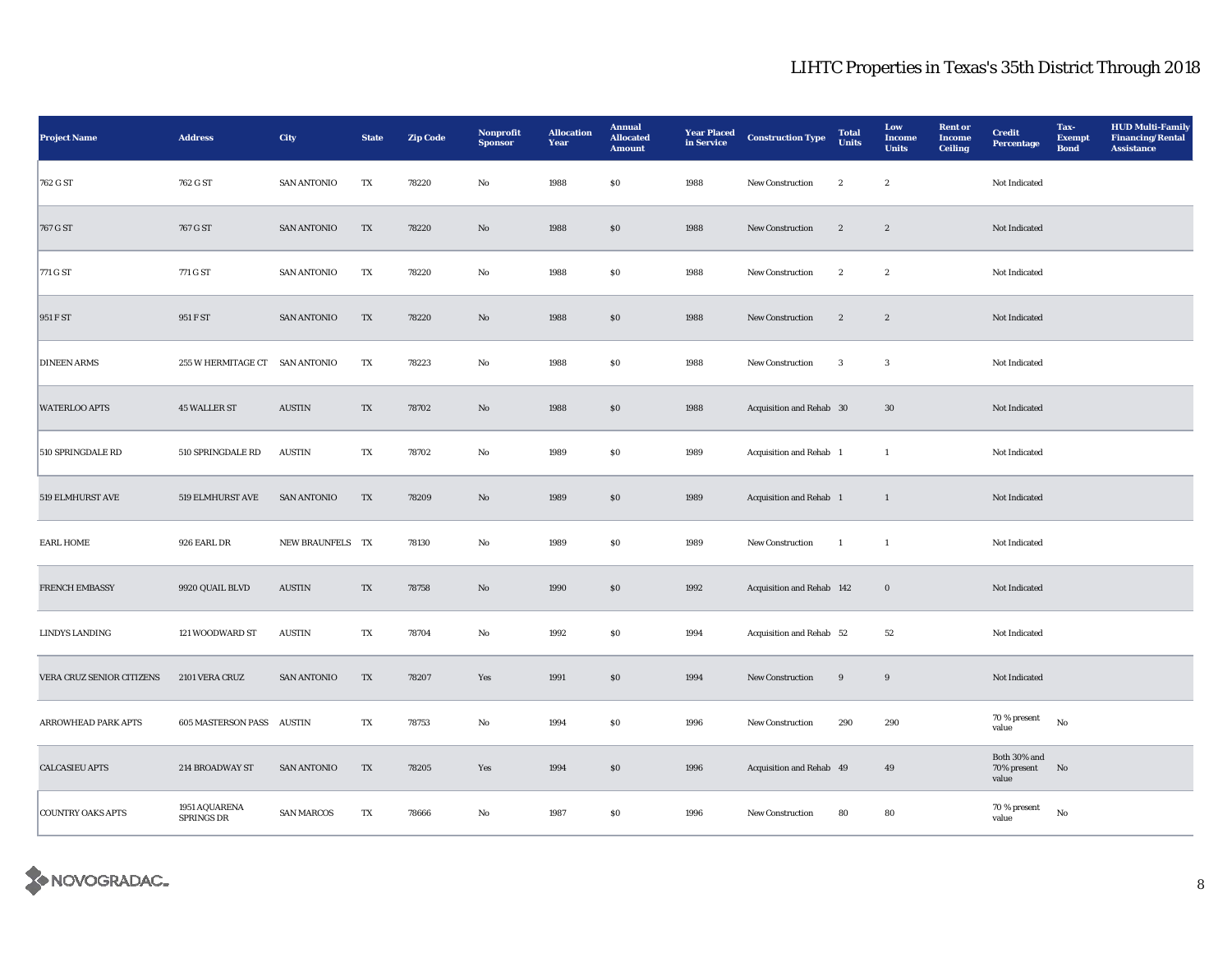| <b>Project Name</b>       | <b>Address</b>                     | City                           | <b>State</b> | <b>Zip Code</b> | <b>Nonprofit</b><br><b>Sponsor</b> | <b>Allocation</b><br>Year | <b>Annual</b><br><b>Allocated</b><br><b>Amount</b> | <b>Year Placed</b><br>in Service | <b>Construction Type</b>  | <b>Total</b><br><b>Units</b> | Low<br>Income<br><b>Units</b> | <b>Rent</b> or<br><b>Income</b><br><b>Ceiling</b> | <b>Credit</b><br><b>Percentage</b>   | Tax-<br><b>Exempt</b><br><b>Bond</b> | <b>HUD Multi-Family</b><br><b>Financing/Rental</b><br><b>Assistance</b> |
|---------------------------|------------------------------------|--------------------------------|--------------|-----------------|------------------------------------|---------------------------|----------------------------------------------------|----------------------------------|---------------------------|------------------------------|-------------------------------|---------------------------------------------------|--------------------------------------|--------------------------------------|-------------------------------------------------------------------------|
| 762 G ST                  | 762 G ST                           | <b>SAN ANTONIO</b>             | TX           | 78220           | No                                 | 1988                      | \$0\$                                              | 1988                             | <b>New Construction</b>   | $\boldsymbol{2}$             | $\mathbf{2}$                  |                                                   | Not Indicated                        |                                      |                                                                         |
| 767 G ST                  | 767 G ST                           | <b>SAN ANTONIO</b>             | TX           | 78220           | $\rm No$                           | 1988                      | $\$0$                                              | 1988                             | New Construction          | $\boldsymbol{2}$             | $\boldsymbol{2}$              |                                                   | Not Indicated                        |                                      |                                                                         |
| 771 G ST                  | 771 G ST                           | <b>SAN ANTONIO</b>             | TX           | 78220           | No                                 | 1988                      | $\$0$                                              | 1988                             | New Construction          | $\boldsymbol{2}$             | $\,$ 2 $\,$                   |                                                   | Not Indicated                        |                                      |                                                                         |
| 951 F ST                  | 951 F ST                           | <b>SAN ANTONIO</b>             | TX           | 78220           | $\mathbf{N}\mathbf{o}$             | 1988                      | \$0                                                | 1988                             | New Construction          | $\boldsymbol{2}$             | $\sqrt{2}$                    |                                                   | Not Indicated                        |                                      |                                                                         |
| <b>DINEEN ARMS</b>        | 255 W HERMITAGE CT SAN ANTONIO     |                                | TX           | 78223           | No                                 | 1988                      | <b>SO</b>                                          | 1988                             | New Construction          | $\mathbf{3}$                 | 3                             |                                                   | Not Indicated                        |                                      |                                                                         |
| <b>WATERLOO APTS</b>      | <b>45 WALLER ST</b>                | <b>AUSTIN</b>                  | TX           | 78702           | No                                 | 1988                      | $\$0$                                              | 1988                             | Acquisition and Rehab 30  |                              | $30\,$                        |                                                   | Not Indicated                        |                                      |                                                                         |
| 510 SPRINGDALE RD         | 510 SPRINGDALE RD                  | $\boldsymbol{\mathrm{AUSTIN}}$ | TX           | 78702           | $_{\rm No}$                        | 1989                      | ${\bf S0}$                                         | 1989                             | Acquisition and Rehab 1   |                              | $\mathbf{1}$                  |                                                   | Not Indicated                        |                                      |                                                                         |
| 519 ELMHURST AVE          | 519 ELMHURST AVE                   | <b>SAN ANTONIO</b>             | TX           | 78209           | $\rm\thinspace No$                 | 1989                      | $\$0$                                              | 1989                             | Acquisition and Rehab 1   |                              | $\mathbf{1}$                  |                                                   | Not Indicated                        |                                      |                                                                         |
| <b>EARL HOME</b>          | 926 EARL DR                        | NEW BRAUNFELS TX               |              | 78130           | $_{\rm No}$                        | 1989                      | $\$0$                                              | 1989                             | New Construction          | <sup>1</sup>                 | $\mathbf{1}$                  |                                                   | Not Indicated                        |                                      |                                                                         |
| <b>FRENCH EMBASSY</b>     | 9920 QUAIL BLVD                    | <b>AUSTIN</b>                  | TX           | 78758           | $\mathbf{No}$                      | 1990                      | $\boldsymbol{\mathsf{S}}\boldsymbol{\mathsf{O}}$   | 1992                             | Acquisition and Rehab 142 |                              | $\boldsymbol{0}$              |                                                   | Not Indicated                        |                                      |                                                                         |
| LINDYS LANDING            | 121 WOODWARD ST                    | <b>AUSTIN</b>                  | TX           | 78704           | No                                 | 1992                      | <b>SO</b>                                          | 1994                             | Acquisition and Rehab 52  |                              | 52                            |                                                   | Not Indicated                        |                                      |                                                                         |
| VERA CRUZ SENIOR CITIZENS | 2101 VERA CRUZ                     | <b>SAN ANTONIO</b>             | TX           | 78207           | Yes                                | 1991                      | \$0                                                | 1994                             | New Construction          | 9                            | $9\,$                         |                                                   | Not Indicated                        |                                      |                                                                         |
| ARROWHEAD PARK APTS       | 605 MASTERSON PASS AUSTIN          |                                | TX           | 78753           | No                                 | 1994                      | $\$0$                                              | 1996                             | New Construction          | 290                          | 290                           |                                                   | 70 % present<br>value                | No                                   |                                                                         |
| <b>CALCASIEU APTS</b>     | 214 BROADWAY ST                    | <b>SAN ANTONIO</b>             | TX           | 78205           | Yes                                | 1994                      | \$0                                                | 1996                             | Acquisition and Rehab 49  |                              | 49                            |                                                   | Both 30% and<br>70% present<br>value | No                                   |                                                                         |
| <b>COUNTRY OAKS APTS</b>  | 1951 AQUARENA<br><b>SPRINGS DR</b> | <b>SAN MARCOS</b>              | TX           | 78666           | No                                 | 1987                      | $\$0$                                              | 1996                             | New Construction          | 80                           | 80                            |                                                   | 70 % present<br>value                | $_{\rm No}$                          |                                                                         |